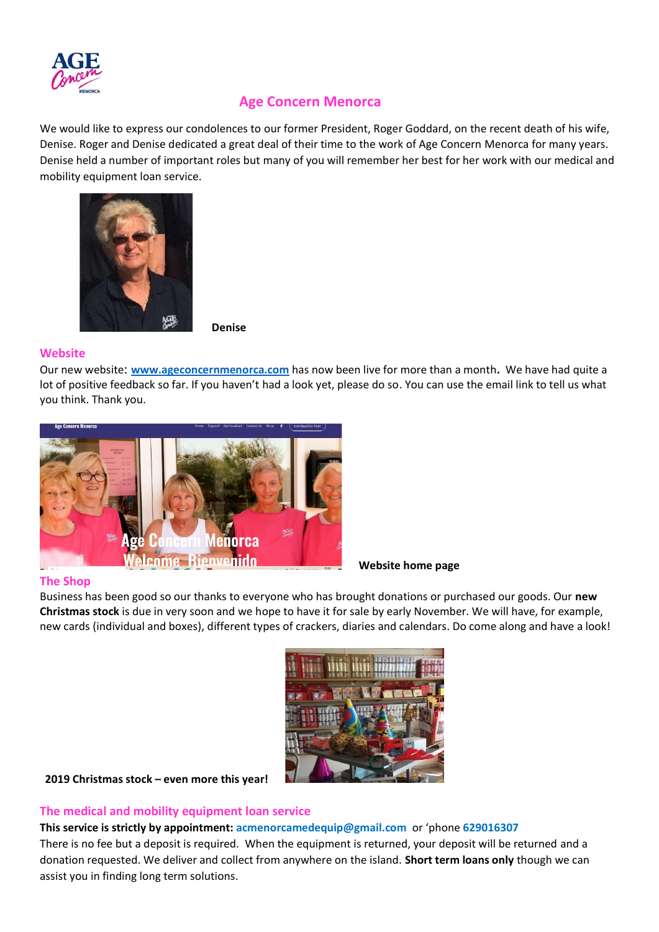

# **Age Concern Menorca**

We would like to express our condolences to our former President, Roger Goddard, on the recent death of his wife, Denise. Roger and Denise dedicated a great deal of their time to the work of Age Concern Menorca for many years. Denise held a number of important roles but many of you will remember her best for her work with our medical and mobility equipment loan service.



 **Denise**

### **Website**

Our new website: **[www.ageconcernmenorca.com](http://www.ageconcernmenorca.com/)** has now been live for more than a month**.** We have had quite a lot of positive feedback so far. If you haven't had a look yet, please do so. You can use the email link to tell us what you think. Thank you.



**Website home page**

# **The Shop**

Business has been good so our thanks to everyone who has brought donations or purchased our goods. Our **new Christmas stock** is due in very soon and we hope to have it for sale by early November. We will have, for example, new cards (individual and boxes), different types of crackers, diaries and calendars. Do come along and have a look!



**2019 Christmas stock – even more this year!** 

**The medical and mobility equipment loan service**

**This service is strictly by appointment: [acmenorcamedequip@gmail.com](mailto:acmenorcamedequip@gmail.com)** or 'phone **629016307** 

There is no fee but a deposit is required. When the equipment is returned, your deposit will be returned and a donation requested. We deliver and collect from anywhere on the island. **Short term loans only** though we can assist you in finding long term solutions.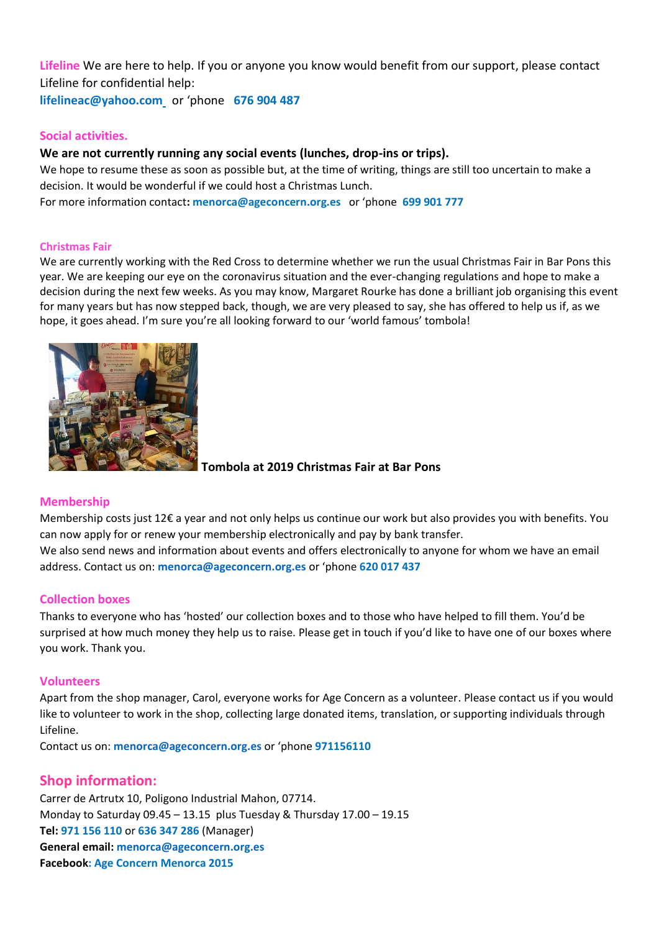**Lifeline** We are here to help. If you or anyone you know would benefit from our support, please contact Lifeline for confidential help: **[lifelineac@yahoo.com](mailto:lifelineac@yahoo.com)** or 'phone **676 904 487**

**Social activities.** 

# **We are not currently running any social events (lunches, drop-ins or trips).**

We hope to resume these as soon as possible but, at the time of writing, things are still too uncertain to make a decision. It would be wonderful if we could host a Christmas Lunch. For more information contact**: [menorca@ageconcern.org.es](mailto:menorca@ageconcern.org.es)** or 'phone **699 901 777**

#### **Christmas Fair**

We are currently working with the Red Cross to determine whether we run the usual Christmas Fair in Bar Pons this year. We are keeping our eye on the coronavirus situation and the ever-changing regulations and hope to make a decision during the next few weeks. As you may know, Margaret Rourke has done a brilliant job organising this event for many years but has now stepped back, though, we are very pleased to say, she has offered to help us if, as we hope, it goes ahead. I'm sure you're all looking forward to our 'world famous' tombola!



**Tombola at 2019 Christmas Fair at Bar Pons**

### **Membership**

Membership costs just 12€ a year and not only helps us continue our work but also provides you with benefits. You can now apply for or renew your membership electronically and pay by bank transfer. We also send news and information about events and offers electronically to anyone for whom we have an email address. Contact us on: **[menorca@ageconcern.org.es](mailto:menorca@ageconcern.org.es)** or 'phone **620 017 437**

### **Collection boxes**

Thanks to everyone who has 'hosted' our collection boxes and to those who have helped to fill them. You'd be surprised at how much money they help us to raise. Please get in touch if you'd like to have one of our boxes where you work. Thank you.

#### **Volunteers**

Apart from the shop manager, Carol, everyone works for Age Concern as a volunteer. Please contact us if you would like to volunteer to work in the shop, collecting large donated items, translation, or supporting individuals through Lifeline.

Contact us on: **[menorca@ageconcern.org.es](mailto:menorca@ageconcern.org.es)** or 'phone **971156110** 

# **Shop information:**

Carrer de Artrutx 10, Poligono Industrial Mahon, 07714. Monday to Saturday 09.45 – 13.15 plus Tuesday & Thursday 17.00 – 19.15 **Tel: 971 156 110** or **636 347 286** (Manager) **General email: [menorca@ageconcern.org.es](mailto:menorca@ageconcern.org.es) Facebook: Age Concern Menorca 2015**